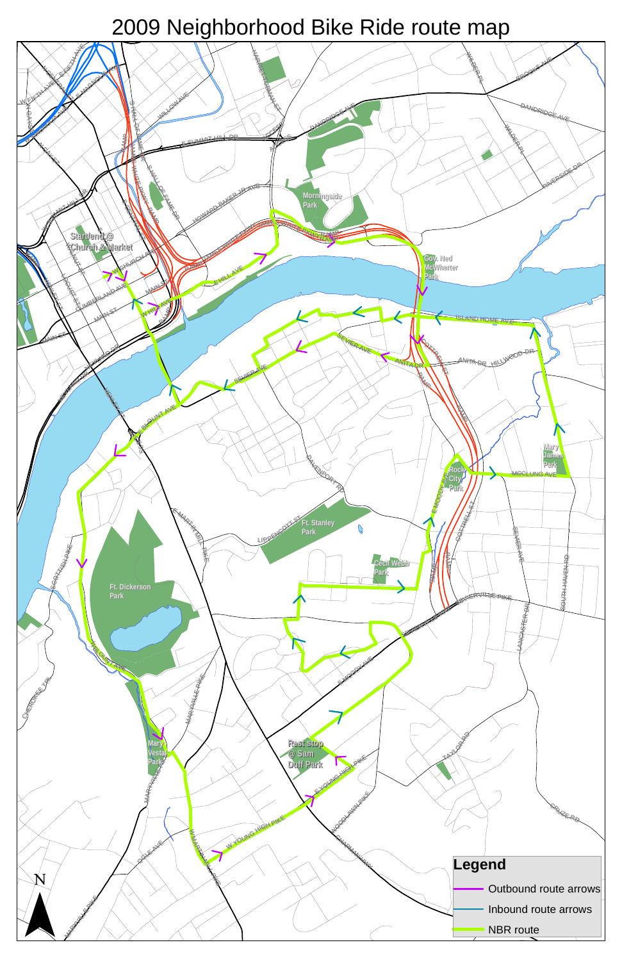

## 2009 Neighborhood Bike Ride route map